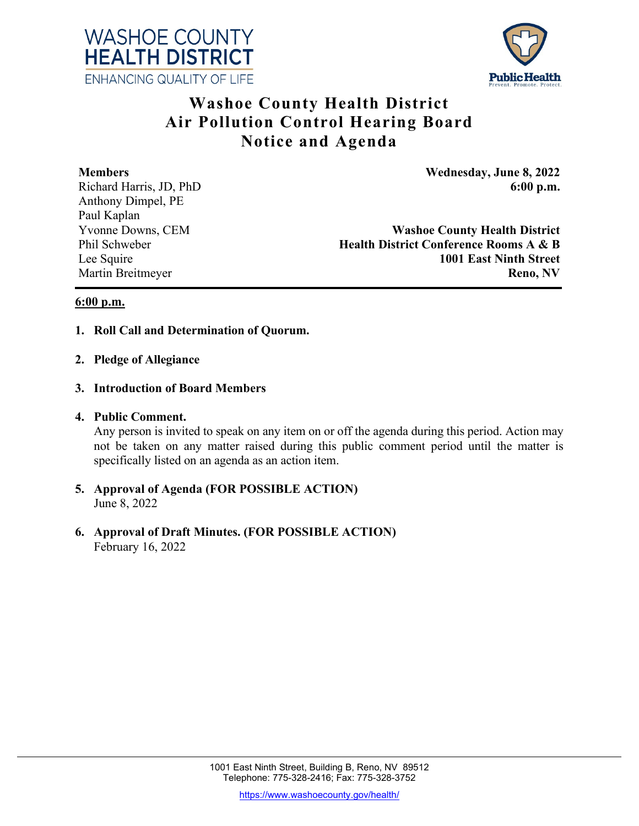



# **Washoe County Health District Air Pollution Control Hearing Board Notice and Agenda**

Anthony Dimpel, PE Paul Kaplan

**Members Wednesday, June 8, 2022** Richard Harris, JD, PhD **6:00 p.m.** 6:00 p.m.

Yvonne Downs, CEM **Washoe County Health District** Phil Schweber **Health District Conference Rooms A & B** Lee Squire **1001 East Ninth Street Martin Breitmeyer Reno, NV** 

## **6:00 p.m.**

- **1. Roll Call and Determination of Quorum.**
- **2. Pledge of Allegiance**
- **3. Introduction of Board Members**
- **4. Public Comment.**

Any person is invited to speak on any item on or off the agenda during this period. Action may not be taken on any matter raised during this public comment period until the matter is specifically listed on an agenda as an action item.

- **5. Approval of Agenda (FOR POSSIBLE ACTION)** June 8, 2022
- **6. Approval of Draft Minutes. (FOR POSSIBLE ACTION)** February 16, 2022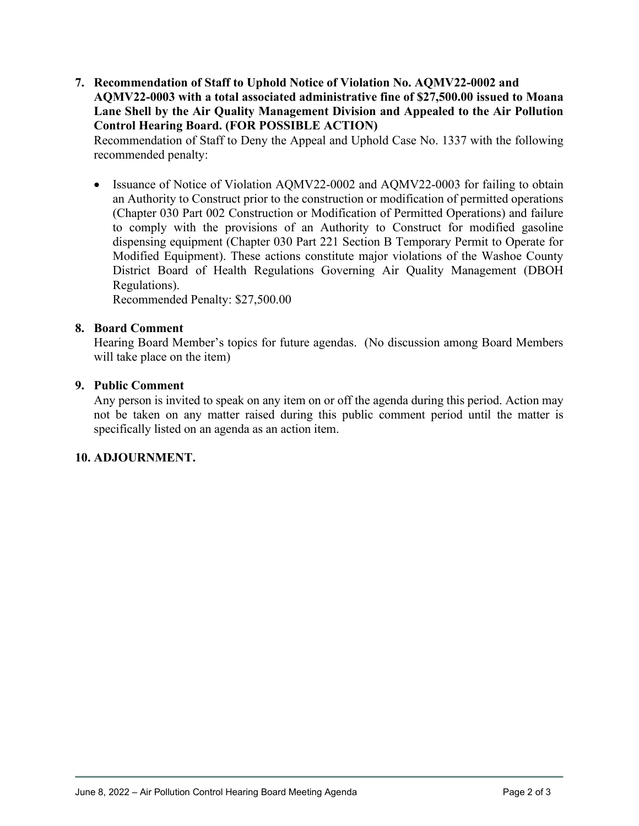**7. Recommendation of Staff to Uphold Notice of Violation No. AQMV22-0002 and AQMV22-0003 with a total associated administrative fine of \$27,500.00 issued to Moana Lane Shell by the Air Quality Management Division and Appealed to the Air Pollution Control Hearing Board. (FOR POSSIBLE ACTION)**

Recommendation of Staff to Deny the Appeal and Uphold Case No. 1337 with the following recommended penalty:

• Issuance of Notice of Violation AQMV22-0002 and AQMV22-0003 for failing to obtain an Authority to Construct prior to the construction or modification of permitted operations (Chapter 030 Part 002 Construction or Modification of Permitted Operations) and failure to comply with the provisions of an Authority to Construct for modified gasoline dispensing equipment (Chapter 030 Part 221 Section B Temporary Permit to Operate for Modified Equipment). These actions constitute major violations of the Washoe County District Board of Health Regulations Governing Air Quality Management (DBOH Regulations).

Recommended Penalty: \$27,500.00

## **8. Board Comment**

Hearing Board Member's topics for future agendas. (No discussion among Board Members will take place on the item)

## **9. Public Comment**

Any person is invited to speak on any item on or off the agenda during this period. Action may not be taken on any matter raised during this public comment period until the matter is specifically listed on an agenda as an action item.

#### **10. ADJOURNMENT.**